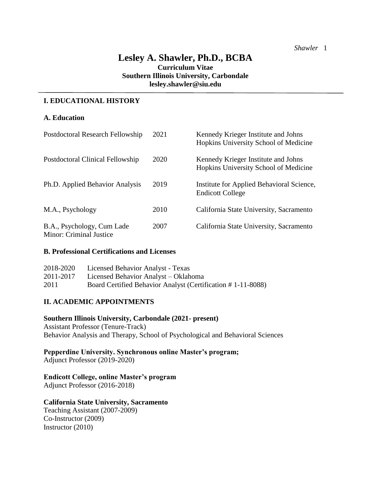# **Lesley A. Shawler, Ph.D., BCBA Curriculum Vitae Southern Illinois University, Carbondale lesley.shawler@siu.edu**

## **I. EDUCATIONAL HISTORY**

## **A. Education**

| Postdoctoral Research Fellowship                      | 2021 | Kennedy Krieger Institute and Johns<br>Hopkins University School of Medicine |
|-------------------------------------------------------|------|------------------------------------------------------------------------------|
| Postdoctoral Clinical Fellowship                      | 2020 | Kennedy Krieger Institute and Johns<br>Hopkins University School of Medicine |
| Ph.D. Applied Behavior Analysis                       | 2019 | Institute for Applied Behavioral Science,<br><b>Endicott College</b>         |
| M.A., Psychology                                      | 2010 | California State University, Sacramento                                      |
| B.A., Psychology, Cum Lade<br>Minor: Criminal Justice | 2007 | California State University, Sacramento                                      |

#### **B. Professional Certifications and Licenses**

| 2018-2020 | Licensed Behavior Analyst - Texas                           |
|-----------|-------------------------------------------------------------|
| 2011-2017 | Licensed Behavior Analyst – Oklahoma                        |
| 2011      | Board Certified Behavior Analyst (Certification #1-11-8088) |

## **II. ACADEMIC APPOINTMENTS**

## **Southern Illinois University, Carbondale (2021- present)**

Assistant Professor (Tenure-Track) Behavior Analysis and Therapy, School of Psychological and Behavioral Sciences

# **Pepperdine University. Synchronous online Master's program;**

Adjunct Professor (2019-2020)

#### **Endicott College, online Master's program**

Adjunct Professor (2016-2018)

#### **California State University, Sacramento**

Teaching Assistant (2007-2009) Co-Instructor (2009) Instructor (2010)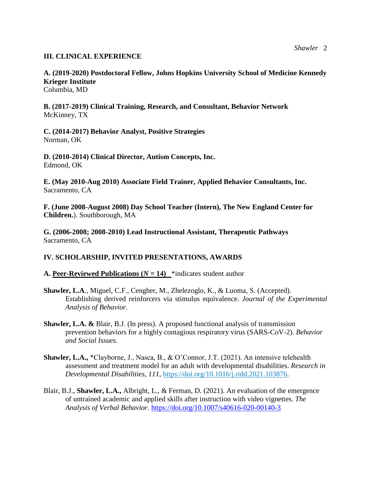## **III. CLINICAL EXPERIENCE**

**A. (2019-2020) Postdoctoral Fellow, Johns Hopkins University School of Medicine Kennedy Krieger Institute**

Columbia, MD

**B. (2017-2019) Clinical Training, Research, and Consultant, Behavior Network** McKinney, TX

**C. (2014-2017) Behavior Analyst, Positive Strategies** Norman, OK

**D. (2010-2014) Clinical Director, Autism Concepts, Inc.** Edmond, OK

**E. (May 2010-Aug 2010) Associate Field Trainer, Applied Behavior Consultants, Inc.** Sacramento, CA

**F. (June 2008-August 2008) Day School Teacher (Intern), The New England Center for Children.**). Southborough, MA

**G. (2006-2008; 2008-2010) Lead Instructional Assistant, Therapeutic Pathways** Sacramento, CA

# **IV. SCHOLARSHIP, INVITED PRESENTATIONS, AWARDS**

**A. Peer-Reviewed Publications (** $N = 14$ **)** \*indicates student author

- **Shawler, L.A**., Miguel, C.F., Cengher, M., Zhelezoglo, K., & Luoma, S. (Accepted). Establishing derived reinforcers via stimulus equivalence. *Journal of the Experimental Analysis of Behavior.*
- **Shawler, L.A. &** Blair, B.J. (In press). A proposed functional analysis of transmission prevention behaviors for a highly contagious respiratory virus (SARS-CoV-2). *Behavior and Social Issues.*
- **Shawler, L.A.,** \*Clayborne, J., Nasca, B., & O'Connor, J.T. (2021). An intensive telehealth assessment and treatment model for an adult with developmental disabilities. *Research in Developmental Disabilities, 111,* [https://doi.org/10.1016/j.ridd.2021.103876.](https://doi.org/10.1016/j.ridd.2021.103876)
- Blair, B.J., **Shawler, L.A.,** Albright, L., & Ferman, D. (2021). An evaluation of the emergence of untrained academic and applied skills after instruction with video vignettes. *The Analysis of Verbal Behavior.* <https://doi.org/10.1007/s40616-020-00140-3>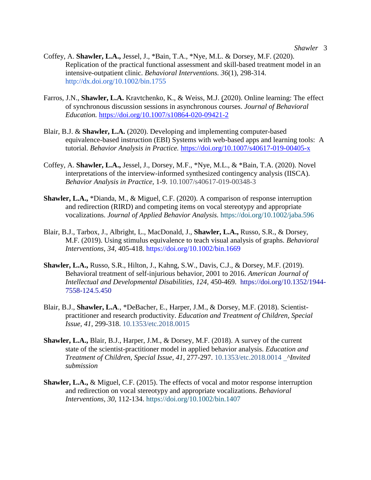- Coffey, A. **Shawler, L.A.,** Jessel, J., \*Bain, T.A., \*Nye, M.L. & Dorsey, M.F. (2020). Replication of the practical functional assessment and skill-based treatment model in an intensive-outpatient clinic. *Behavioral Interventions. 36*(1), 298-314. <http://dx.doi.org/10.1002/bin.1755>
- Farros, J.N., **Shawler, L.A.** Kravtchenko, K., & Weiss, M.J. (2020). Online learning: The effect of synchronous discussion sessions in asynchronous courses. *Journal of Behavioral Education.* <https://doi.org/10.1007/s10864-020-09421-2>
- Blair, B.J. & **Shawler, L.A.** (2020). Developing and implementing computer-based equivalence-based instruction (EBI) Systems with web-based apps and learning tools: A tutorial. *Behavior Analysis in Practice.* <https://doi.org/10.1007/s40617-019-00405-x>
- Coffey, A. **Shawler, L.A.,** Jessel, J., Dorsey, M.F., \*Nye, M.L., & \*Bain, T.A. (2020). Novel interpretations of the interview-informed synthesized contingency analysis (IISCA). *Behavior Analysis in Practice,* 1-9. [10.1007/s40617-019-00348-3](about:blank)
- **Shawler, L.A.,** \*Dianda, M., & Miguel, C.F. (2020). A comparison of response interruption and redirection (RIRD) and competing items on vocal stereotypy and appropriate vocalizations. *Journal of Applied Behavior Analysis.* <https://doi.org/10.1002/jaba.596>
- Blair, B.J., Tarbox, J., Albright, L., MacDonald, J., **Shawler, L.A.,** Russo, S.R., & Dorsey, M.F. (2019). Using stimulus equivalence to teach visual analysis of graphs. *Behavioral Interventions, 34,* 405-418.<https://doi.org/10.1002/bin.1669>
- **Shawler, L.A.,** Russo, S.R., Hilton, J., Kahng, S.W., Davis, C.J., & Dorsey, M.F. (2019). Behavioral treatment of self-injurious behavior, 2001 to 2016. *American Journal of Intellectual and Developmental Disabilities, 124,* 450-469. [https://doi.org/10.1352/1944-](https://doi.org/10.1352/1944-7558-124.5.450) [7558-124.5.450](https://doi.org/10.1352/1944-7558-124.5.450)
- Blair, B.J., **Shawler, L.A**., \*DeBacher, E., Harper, J.M., & Dorsey, M.F. (2018). Scientistpractitioner and research productivity. *Education and Treatment of Children, Special Issue, 41*, 299-318. [10.1353/etc.2018.0015](https://doi.org/10.1353/etc.2018.0015)
- **Shawler, L.A.,** Blair, B.J., Harper, J.M., & Dorsey, M.F. (2018). A survey of the current state of the scientist-practitioner model in applied behavior analysis. *Education and Treatment of Children, Special Issue, 41*, 277-297. [10.1353/etc.2018.0014](https://doi.org/10.1353/etc.2018.0014) *^Invited submission*
- **Shawler, L.A.,** & Miguel, C.F. (2015). The effects of vocal and motor response interruption and redirection on vocal stereotypy and appropriate vocalizations. *Behavioral Interventions, 30*, 112-134.<https://doi.org/10.1002/bin.1407>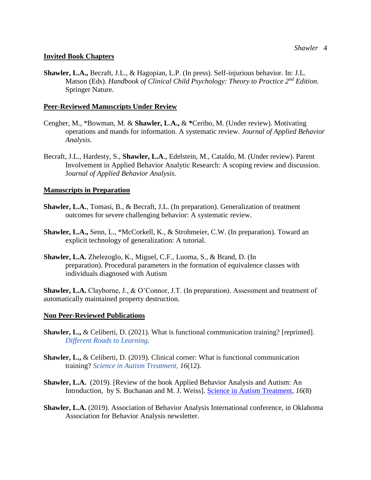#### **Invited Book Chapters**

**Shawler, L.A.,** Becraft, J.L., & Hagopian, L.P. (In press). Self-injurious behavior. In: J.L. Matson (Eds). *Handbook of Clinical Child Psychology: Theory to Practice 2nd Edition.*  Springer Nature.

## **Peer-Reviewed Manuscripts Under Review**

- Cengher, M., \*Bowman, M. & **Shawler, L**.**A.,** & **\***Ceribo, M. (Under review). Motivating operations and mands for information. A systematic review. *Journal of Applied Behavior Analysis.*
- Becraft, J.L., Hardesty, S., **Shawler, L.A**., Edelstein, M., Cataldo, M. (Under review). Parent Involvement in Applied Behavior Analytic Research: A scoping review and discussion. J*ournal of Applied Behavior Analysis.*

## **Manuscripts in Preparation**

- **Shawler, L.A.**, Tomasi, B., & Becraft, J.L. (In preparation). Generalization of treatment outcomes for severe challenging behavior: A systematic review.
- **Shawler, L.A.,** Senn, L., \*McCorkell, K., & Strohmeier, C.W. (In preparation). Toward an explicit technology of generalization: A tutorial.
- **Shawler, L.A.** Zhelezoglo, K., Miguel, C.F., Luoma, S., & Brand, D. (In preparation). Procedural parameters in the formation of equivalence classes with individuals diagnosed with Autism

**Shawler, L.A.** Clayborne, J., & O'Connor, J.T. (In preparation). Assessment and treatment of automatically maintained property destruction.

#### **Non Peer-Reviewed Publications**

- **Shawler, L.,** & Celiberti, D. (2021). What is functional communication training? [reprinted]. *[Different Roads to Learning.](https://difflearn.com/blogs/http-blog-difflearn-com/what-is-functional-communication-training)*
- **Shawler, L., & Celiberti, D. (2019). Clinical corner: What is functional communication** training? *[Science in Autism Treatment,](https://mailchi.mp/asatonline/science-in-autism-treatment_2019_12) 16*(12).
- **Shawler, L.A.** (2019). [Review of the book Applied Behavior Analysis and Autism: An Introduction, by S. Buchanan and M. J. Weiss]. [Science in Autism Treatment](https://mailchi.mp/asatonline/science-in-autism-treatment_jan_1_2019)*, 16*(8)
- **Shawler, L.A.** (2019). Association of Behavior Analysis International conference, in Oklahoma Association for Behavior Analysis newsletter.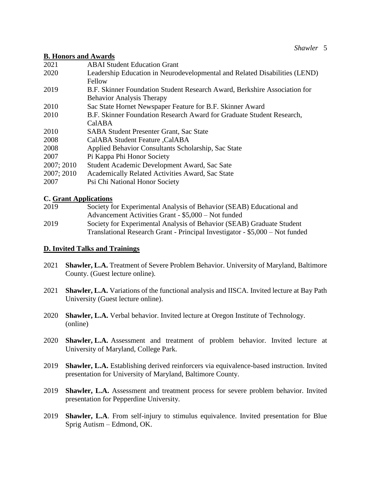## **B. Honors and Awards**

| 2021       | <b>ABAI Student Education Grant</b>                                        |
|------------|----------------------------------------------------------------------------|
| 2020       | Leadership Education in Neurodevelopmental and Related Disabilities (LEND) |
|            | Fellow                                                                     |
| 2019       | B.F. Skinner Foundation Student Research Award, Berkshire Association for  |
|            | <b>Behavior Analysis Therapy</b>                                           |
| 2010       | Sac State Hornet Newspaper Feature for B.F. Skinner Award                  |
| 2010       | B.F. Skinner Foundation Research Award for Graduate Student Research,      |
|            | CalABA                                                                     |
| 2010       | <b>SABA Student Presenter Grant, Sac State</b>                             |
| 2008       | CalABA Student Feature , CalABA                                            |
| 2008       | Applied Behavior Consultants Scholarship, Sac State                        |
| 2007       | Pi Kappa Phi Honor Society                                                 |
| 2007; 2010 | Student Academic Development Award, Sac Sate                               |
| 2007; 2010 | Academically Related Activities Award, Sac State                           |
| 2007       | Psi Chi National Honor Society                                             |
|            |                                                                            |

# **C. Grant Applications**

| 2019 | Society for Experimental Analysis of Behavior (SEAB) Educational and         |
|------|------------------------------------------------------------------------------|
|      | Advancement Activities Grant - \$5,000 - Not funded                          |
| 2019 | Society for Experimental Analysis of Behavior (SEAB) Graduate Student        |
|      | Translational Research Grant - Principal Investigator - \$5,000 - Not funded |

# **D. Invited Talks and Trainings**

- 2021 **Shawler, L.A.** Treatment of Severe Problem Behavior. University of Maryland, Baltimore County. (Guest lecture online).
- 2021 **Shawler, L.A.** Variations of the functional analysis and IISCA. Invited lecture at Bay Path University (Guest lecture online).
- 2020 **Shawler, L.A.** Verbal behavior. Invited lecture at Oregon Institute of Technology. (online)
- 2020 **Shawler, L.A.** Assessment and treatment of problem behavior. Invited lecture at University of Maryland, College Park.
- 2019 **Shawler, L.A.** Establishing derived reinforcers via equivalence-based instruction. Invited presentation for University of Maryland, Baltimore County.
- 2019 **Shawler, L.A.** Assessment and treatment process for severe problem behavior. Invited presentation for Pepperdine University.
- 2019 **Shawler, L.A**. From self-injury to stimulus equivalence. Invited presentation for Blue Sprig Autism – Edmond, OK.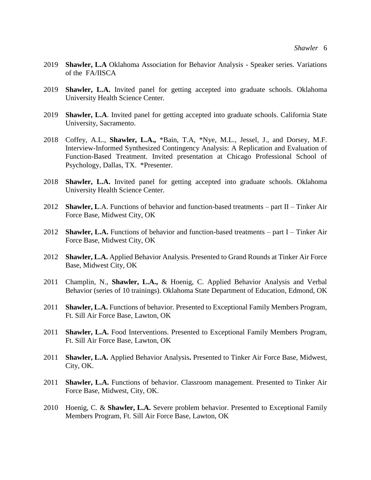- 2019 **Shawler, L.A** Oklahoma Association for Behavior Analysis Speaker series. Variations of the FA/IISCA
- 2019 **Shawler, L.A.** Invited panel for getting accepted into graduate schools. Oklahoma University Health Science Center.
- 2019 **Shawler, L.A**. Invited panel for getting accepted into graduate schools. California State University, Sacramento.
- 2018 Coffey, A.L., **Shawler, L.A.,** \*Bain, T.A, \*Nye, M.L., Jessel, J., and Dorsey, M.F. Interview-Informed Synthesized Contingency Analysis: A Replication and Evaluation of Function-Based Treatment. Invited presentation at Chicago Professional School of Psychology, Dallas, TX. \*Presenter.
- 2018 **Shawler, L.A.** Invited panel for getting accepted into graduate schools. Oklahoma University Health Science Center.
- 2012 **Shawler, L**.A. Functions of behavior and function-based treatments part II Tinker Air Force Base, Midwest City, OK
- 2012 **Shawler, L.A.** Functions of behavior and function-based treatments part I Tinker Air Force Base, Midwest City, OK
- 2012 **Shawler, L.A.** Applied Behavior Analysis. Presented to Grand Rounds at Tinker Air Force Base, Midwest City, OK
- 2011 Champlin, N., **Shawler, L.A.,** & Hoenig, C. Applied Behavior Analysis and Verbal Behavior (series of 10 trainings). Oklahoma State Department of Education, Edmond, OK
- 2011 **Shawler, L.A.** Functions of behavior. Presented to Exceptional Family Members Program, Ft. Sill Air Force Base, Lawton, OK
- 2011 **Shawler, L.A.** Food Interventions. Presented to Exceptional Family Members Program, Ft. Sill Air Force Base, Lawton, OK
- 2011 **Shawler, L.A.** Applied Behavior Analysis**.** Presented to Tinker Air Force Base, Midwest, City, OK.
- 2011 **Shawler, L.A.** Functions of behavior. Classroom management. Presented to Tinker Air Force Base, Midwest, City, OK.
- 2010 Hoenig, C. & **Shawler, L.A.** Severe problem behavior. Presented to Exceptional Family Members Program, Ft. Sill Air Force Base, Lawton, OK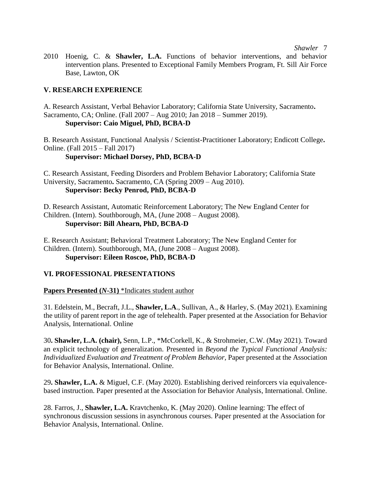*Shawler* 7

2010 Hoenig, C. & **Shawler, L.A.** Functions of behavior interventions, and behavior intervention plans. Presented to Exceptional Family Members Program, Ft. Sill Air Force Base, Lawton, OK

# **V. RESEARCH EXPERIENCE**

A. Research Assistant, Verbal Behavior Laboratory; California State University, Sacramento**.** Sacramento, CA; Online. (Fall 2007 – Aug 2010; Jan 2018 – Summer 2019). **Supervisor: Caio Miguel, PhD, BCBA-D**

B. Research Assistant, Functional Analysis / Scientist-Practitioner Laboratory; Endicott College**.** Online. (Fall 2015 – Fall 2017)

**Supervisor: Michael Dorsey, PhD, BCBA-D**

C. Research Assistant, Feeding Disorders and Problem Behavior Laboratory; California State University, Sacramento**.** Sacramento, CA (Spring 2009 – Aug 2010). **Supervisor: Becky Penrod, PhD, BCBA-D**

D. Research Assistant, Automatic Reinforcement Laboratory; The New England Center for Children. (Intern). Southborough, MA, (June 2008 – August 2008). **Supervisor: Bill Ahearn, PhD, BCBA-D**

E. Research Assistant; Behavioral Treatment Laboratory; The New England Center for Children. (Intern). Southborough, MA, (June 2008 – August 2008). **Supervisor: Eileen Roscoe, PhD, BCBA-D**

## **VI. PROFESSIONAL PRESENTATIONS**

**Papers Presented (***N***-31)** \*Indicates student author

31. Edelstein, M., Becraft, J.L., **Shawler, L.A**., Sullivan, A., & Harley, S. (May 2021). Examining the utility of parent report in the age of telehealth. Paper presented at the Association for Behavior Analysis, International. Online

30**. Shawler, L.A. (chair),** Senn, L.P., \*McCorkell, K., & Strohmeier, C.W. (May 2021). Toward an explicit technology of generalization. Presented in *Beyond the Typical Functional Analysis: Individualized Evaluation and Treatment of Problem Behavior*, Paper presented at the Association for Behavior Analysis, International. Online.

29**. Shawler, L.A.** & Miguel, C.F. (May 2020). Establishing derived reinforcers via equivalencebased instruction. Paper presented at the Association for Behavior Analysis, International. Online.

28. Farros, J., **Shawler, L.A.** Kravtchenko, K. (May 2020). Online learning: The effect of synchronous discussion sessions in asynchronous courses. Paper presented at the Association for Behavior Analysis, International. Online.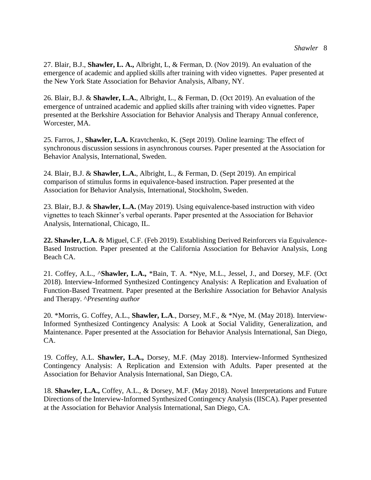27. Blair, B.J., **Shawler, L. A.,** Albright, L, & Ferman, D. (Nov 2019). An evaluation of the emergence of academic and applied skills after training with video vignettes. Paper presented at the New York State Association for Behavior Analysis, Albany, NY.

26. Blair, B.J. & **Shawler, L.A.**, Albright, L., & Ferman, D. (Oct 2019). An evaluation of the emergence of untrained academic and applied skills after training with video vignettes. Paper presented at the Berkshire Association for Behavior Analysis and Therapy Annual conference, Worcester, MA.

25. Farros, J., **Shawler, L.A.** Kravtchenko, K. (Sept 2019). Online learning: The effect of synchronous discussion sessions in asynchronous courses. Paper presented at the Association for Behavior Analysis, International, Sweden.

24. Blair, B.J. & **Shawler, L.A.**, Albright, L., & Ferman, D. (Sept 2019). An empirical comparison of stimulus forms in equivalence-based instruction. Paper presented at the Association for Behavior Analysis, International, Stockholm, Sweden.

23. Blair, B.J. & **Shawler, L.A.** (May 2019). Using equivalence-based instruction with video vignettes to teach Skinner's verbal operants. Paper presented at the Association for Behavior Analysis, International, Chicago, IL.

**22. Shawler, L.A.** & Miguel, C.F. (Feb 2019). Establishing Derived Reinforcers via Equivalence-Based Instruction. Paper presented at the California Association for Behavior Analysis, Long Beach CA.

21. Coffey, A.L., ^**Shawler, L.A.,** \*Bain, T. A. \*Nye, M.L., Jessel, J., and Dorsey, M.F. (Oct 2018). Interview-Informed Synthesized Contingency Analysis: A Replication and Evaluation of Function-Based Treatment. Paper presented at the Berkshire Association for Behavior Analysis and Therapy. ^*Presenting author* 

20. \*Morris, G. Coffey, A.L., **Shawler, L.A**., Dorsey, M.F., & \*Nye, M. (May 2018). Interview-Informed Synthesized Contingency Analysis: A Look at Social Validity, Generalization, and Maintenance. Paper presented at the Association for Behavior Analysis International, San Diego, CA.

19. Coffey, A.L. **Shawler, L.A.,** Dorsey, M.F. (May 2018). Interview-Informed Synthesized Contingency Analysis: A Replication and Extension with Adults. Paper presented at the Association for Behavior Analysis International, San Diego, CA.

18. **Shawler, L.A.,** Coffey, A.L., & Dorsey, M.F. (May 2018). Novel Interpretations and Future Directions of the Interview-Informed Synthesized Contingency Analysis (IISCA). Paper presented at the Association for Behavior Analysis International, San Diego, CA.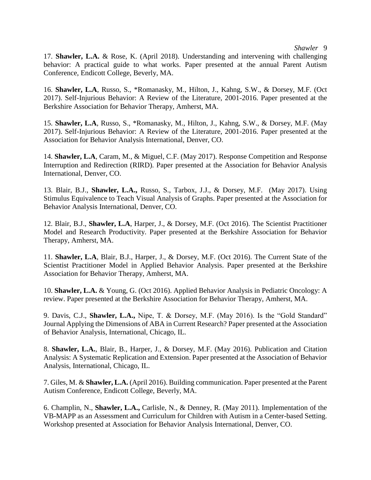17. **Shawler, L.A.** & Rose, K. (April 2018). Understanding and intervening with challenging behavior: A practical guide to what works. Paper presented at the annual Parent Autism Conference, Endicott College, Beverly, MA.

16. **Shawler, L.A**, Russo, S., \*Romanasky, M., Hilton, J., Kahng, S.W., & Dorsey, M.F. (Oct 2017). Self-Injurious Behavior: A Review of the Literature, 2001-2016. Paper presented at the Berkshire Association for Behavior Therapy, Amherst, MA.

15. **Shawler, L.A**, Russo, S., \*Romanasky, M., Hilton, J., Kahng, S.W., & Dorsey, M.F. (May 2017). Self-Injurious Behavior: A Review of the Literature, 2001-2016. Paper presented at the Association for Behavior Analysis International, Denver, CO.

14. **Shawler, L.A**, Caram, M., & Miguel, C.F. (May 2017). Response Competition and Response Interruption and Redirection (RIRD). Paper presented at the Association for Behavior Analysis International, Denver, CO.

13. Blair, B.J., **Shawler, L.A.,** Russo, S., Tarbox, J.J., & Dorsey, M.F. (May 2017). Using Stimulus Equivalence to Teach Visual Analysis of Graphs. Paper presented at the Association for Behavior Analysis International, Denver, CO.

12. Blair, B.J., **Shawler, L.A**, Harper, J., & Dorsey, M.F. (Oct 2016). The Scientist Practitioner Model and Research Productivity. Paper presented at the Berkshire Association for Behavior Therapy, Amherst, MA.

11. **Shawler, L.A**, Blair, B.J., Harper, J., & Dorsey, M.F. (Oct 2016). The Current State of the Scientist Practitioner Model in Applied Behavior Analysis. Paper presented at the Berkshire Association for Behavior Therapy, Amherst, MA.

10. **Shawler, L.A.** & Young, G. (Oct 2016). Applied Behavior Analysis in Pediatric Oncology: A review. Paper presented at the Berkshire Association for Behavior Therapy, Amherst, MA.

9. Davis, C.J., **Shawler, L.A.,** Nipe, T. & Dorsey, M.F. (May 2016). Is the "Gold Standard" Journal Applying the Dimensions of ABA in Current Research? Paper presented at the Association of Behavior Analysis, International, Chicago, IL.

8. **Shawler, L.A.**, Blair, B., Harper, J., & Dorsey, M.F. (May 2016). Publication and Citation Analysis: A Systematic Replication and Extension. Paper presented at the Association of Behavior Analysis, International, Chicago, IL.

7. Giles, M. & **Shawler, L.A.** (April 2016). Building communication. Paper presented at the Parent Autism Conference, Endicott College, Beverly, MA.

6. Champlin, N., **Shawler, L.A.,** Carlisle, N., & Denney, R. (May 2011). Implementation of the VB-MAPP as an Assessment and Curriculum for Children with Autism in a Center-based Setting. Workshop presented at Association for Behavior Analysis International, Denver, CO.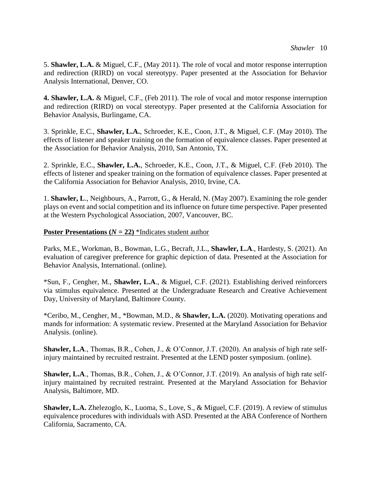5. **Shawler, L.A.** & Miguel, C.F., (May 2011). The role of vocal and motor response interruption and redirection (RIRD) on vocal stereotypy. Paper presented at the Association for Behavior Analysis International, Denver, CO.

**4. Shawler, L.A.** & Miguel, C.F., (Feb 2011). The role of vocal and motor response interruption and redirection (RIRD) on vocal stereotypy. Paper presented at the California Association for Behavior Analysis, Burlingame, CA.

3. Sprinkle, E.C., **Shawler, L.A.**, Schroeder, K.E., Coon, J.T., & Miguel, C.F. (May 2010). The effects of listener and speaker training on the formation of equivalence classes. Paper presented at the Association for Behavior Analysis, 2010, San Antonio, TX.

2. Sprinkle, E.C., **Shawler, L.A.**, Schroeder, K.E., Coon, J.T., & Miguel, C.F. (Feb 2010). The effects of listener and speaker training on the formation of equivalence classes. Paper presented at the California Association for Behavior Analysis, 2010, Irvine, CA.

1. **Shawler, L**., Neighbours, A., Parrott, G., & Herald, N. (May 2007). Examining the role gender plays on event and social competition and its influence on future time perspective. Paper presented at the Western Psychological Association, 2007, Vancouver, BC.

## **Poster Presentations (** $N = 22$ **) \*Indicates student author**

Parks, M.E., Workman, B., Bowman, L.G., Becraft, J.L., **Shawler, L.A**., Hardesty, S. (2021). An evaluation of caregiver preference for graphic depiction of data. Presented at the Association for Behavior Analysis, International. (online).

\*Sun, F., Cengher, M., **Shawler, L.A**., & Miguel, C.F. (2021). Establishing derived reinforcers via stimulus equivalence. Presented at the Undergraduate Research and Creative Achievement Day, University of Maryland, Baltimore County.

\*Ceribo, M., Cengher, M., \*Bowman, M.D., & **Shawler, L.A.** (2020). Motivating operations and mands for information: A systematic review. Presented at the Maryland Association for Behavior Analysis. (online).

**Shawler, L.A**., Thomas, B.R., Cohen, J., & O'Connor, J.T. (2020). An analysis of high rate selfinjury maintained by recruited restraint. Presented at the LEND poster symposium. (online).

**Shawler, L.A**., Thomas, B.R., Cohen, J., & O'Connor, J.T. (2019). An analysis of high rate selfinjury maintained by recruited restraint. Presented at the Maryland Association for Behavior Analysis, Baltimore, MD.

**Shawler, L.A.** Zhelezoglo, K., Luoma, S., Love, S., & Miguel, C.F. (2019). A review of stimulus equivalence procedures with individuals with ASD. Presented at the ABA Conference of Northern California, Sacramento, CA.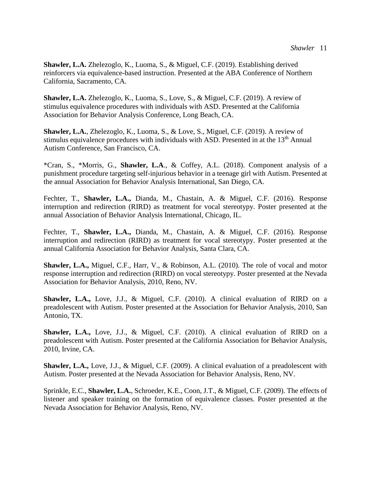**Shawler, L.A.** Zhelezoglo, K., Luoma, S., & Miguel, C.F. (2019). Establishing derived reinforcers via equivalence-based instruction. Presented at the ABA Conference of Northern California, Sacramento, CA.

**Shawler, L.A.** Zhelezoglo, K., Luoma, S., Love, S., & Miguel, C.F. (2019). A review of stimulus equivalence procedures with individuals with ASD. Presented at the California Association for Behavior Analysis Conference, Long Beach, CA.

**Shawler, L.A.**, Zhelezoglo, K., Luoma, S., & Love, S., Miguel, C.F. (2019). A review of stimulus equivalence procedures with individuals with ASD. Presented in at the 13<sup>th</sup> Annual Autism Conference, San Francisco, CA.

\*Cran, S., \*Morris, G., **Shawler, L.A**., & Coffey, A.L. (2018). Component analysis of a punishment procedure targeting self-injurious behavior in a teenage girl with Autism. Presented at the annual Association for Behavior Analysis International, San Diego, CA.

Fechter, T., **Shawler, L.A.,** Dianda, M., Chastain, A. & Miguel, C.F. (2016). Response interruption and redirection (RIRD) as treatment for vocal stereotypy. Poster presented at the annual Association of Behavior Analysis International, Chicago, IL.

Fechter, T., **Shawler, L.A.,** Dianda, M., Chastain, A. & Miguel, C.F. (2016). Response interruption and redirection (RIRD) as treatment for vocal stereotypy. Poster presented at the annual California Association for Behavior Analysis, Santa Clara, CA.

**Shawler, L.A.,** Miguel, C.F., Harr, V., & Robinson, A.L. (2010). The role of vocal and motor response interruption and redirection (RIRD) on vocal stereotypy. Poster presented at the Nevada Association for Behavior Analysis, 2010, Reno, NV.

**Shawler, L.A.,** Love, J.J., & Miguel, C.F. (2010). A clinical evaluation of RIRD on a preadolescent with Autism. Poster presented at the Association for Behavior Analysis, 2010, San Antonio, TX.

**Shawler, L.A.,** Love, J.J., & Miguel, C.F. (2010). A clinical evaluation of RIRD on a preadolescent with Autism. Poster presented at the California Association for Behavior Analysis, 2010, Irvine, CA.

**Shawler, L.A.,** Love, J.J., & Miguel, C.F. (2009). A clinical evaluation of a preadolescent with Autism. Poster presented at the Nevada Association for Behavior Analysis, Reno, NV.

Sprinkle, E.C., **Shawler, L.A.**, Schroeder, K.E., Coon, J.T., & Miguel, C.F. (2009). The effects of listener and speaker training on the formation of equivalence classes. Poster presented at the Nevada Association for Behavior Analysis, Reno, NV.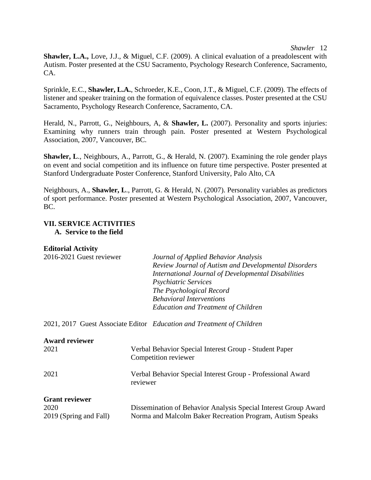#### *Shawler* 12

**Shawler, L.A.,** Love, J.J., & Miguel, C.F. (2009). A clinical evaluation of a preadolescent with Autism. Poster presented at the CSU Sacramento, Psychology Research Conference, Sacramento, CA.

Sprinkle, E.C., **Shawler, L.A.**, Schroeder, K.E., Coon, J.T., & Miguel, C.F. (2009). The effects of listener and speaker training on the formation of equivalence classes. Poster presented at the CSU Sacramento, Psychology Research Conference, Sacramento, CA.

Herald, N., Parrott, G., Neighbours, A, & **Shawler, L.** (2007). Personality and sports injuries: Examining why runners train through pain. Poster presented at Western Psychological Association, 2007, Vancouver, BC.

**Shawler, L**., Neighbours, A., Parrott, G., & Herald, N. (2007). Examining the role gender plays on event and social competition and its influence on future time perspective. Poster presented at Stanford Undergraduate Poster Conference, Stanford University, Palo Alto, CA

Neighbours, A., **Shawler, L**., Parrott, G. & Herald, N. (2007). Personality variables as predictors of sport performance. Poster presented at Western Psychological Association, 2007, Vancouver, BC.

#### **VII. SERVICE ACTIVITIES A. Service to the field**

## **Editorial Activity**

| 2016-2021 Guest reviewer      | Journal of Applied Behavior Analysis<br>Review Journal of Autism and Developmental Disorders<br>International Journal of Developmental Disabilities<br><b>Psychiatric Services</b><br>The Psychological Record<br><b>Behavioral Interventions</b><br><b>Education and Treatment of Children</b> |
|-------------------------------|-------------------------------------------------------------------------------------------------------------------------------------------------------------------------------------------------------------------------------------------------------------------------------------------------|
|                               | 2021, 2017 Guest Associate Editor Education and Treatment of Children                                                                                                                                                                                                                           |
| <b>Award reviewer</b><br>2021 | Verbal Behavior Special Interest Group - Student Paper<br>Competition reviewer                                                                                                                                                                                                                  |
| 2021                          | Verbal Behavior Special Interest Group - Professional Award                                                                                                                                                                                                                                     |

| <b>Grant reviewer</b>  |                                                                 |
|------------------------|-----------------------------------------------------------------|
| 2020                   | Dissemination of Behavior Analysis Special Interest Group Award |
| 2019 (Spring and Fall) | Norma and Malcolm Baker Recreation Program, Autism Speaks       |

reviewer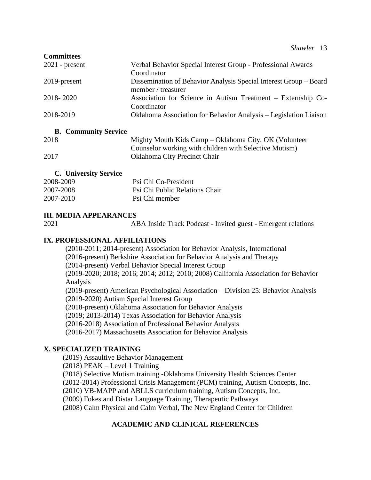| <b>Committees</b> |                                                                   |
|-------------------|-------------------------------------------------------------------|
| $2021$ - present  | Verbal Behavior Special Interest Group - Professional Awards      |
|                   | Coordinator                                                       |
| 2019-present      | Dissemination of Behavior Analysis Special Interest Group – Board |
|                   | member / treasurer                                                |
| 2018-2020         | Association for Science in Autism Treatment – Externship Co-      |
|                   | Coordinator                                                       |
| 2018-2019         | Oklahoma Association for Behavior Analysis – Legislation Liaison  |
|                   |                                                                   |

## **B. Community Service**

| 2018 | Mighty Mouth Kids Camp – Oklahoma City, OK (Volunteer |
|------|-------------------------------------------------------|
|      | Counselor working with children with Selective Mutism |
| 2017 | <b>Oklahoma City Precinct Chair</b>                   |

# **C. University Service**

| 2008-2009 | Psi Chi Co-President           |
|-----------|--------------------------------|
| 2007-2008 | Psi Chi Public Relations Chair |
| 2007-2010 | Psi Chi member                 |

# **III. MEDIA APPEARANCES**

2021 ABA Inside Track Podcast - Invited guest - Emergent relations

# **IX. PROFESSIONAL AFFILIATIONS**

(2010-2011; 2014-present) Association for Behavior Analysis, International (2016-present) Berkshire Association for Behavior Analysis and Therapy (2014-present) Verbal Behavior Special Interest Group (2019-2020; 2018; 2016; 2014; 2012; 2010; 2008) California Association for Behavior Analysis (2019-present) American Psychological Association – Division 25: Behavior Analysis (2019-2020) Autism Special Interest Group (2018-present) Oklahoma Association for Behavior Analysis (2019; 2013-2014) Texas Association for Behavior Analysis (2016-2018) Association of Professional Behavior Analysts (2016-2017) Massachusetts Association for Behavior Analysis

# **X. SPECIALIZED TRAINING**

(2019) Assaultive Behavior Management

(2018) PEAK – Level 1 Training

(2018) Selective Mutism training -Oklahoma University Health Sciences Center

(2012-2014) Professional Crisis Management (PCM) training, Autism Concepts, Inc.

(2010) VB-MAPP and ABLLS curriculum training, Autism Concepts, Inc.

(2009) Fokes and Distar Language Training, Therapeutic Pathways

(2008) Calm Physical and Calm Verbal, The New England Center for Children

# **ACADEMIC AND CLINICAL REFERENCES**